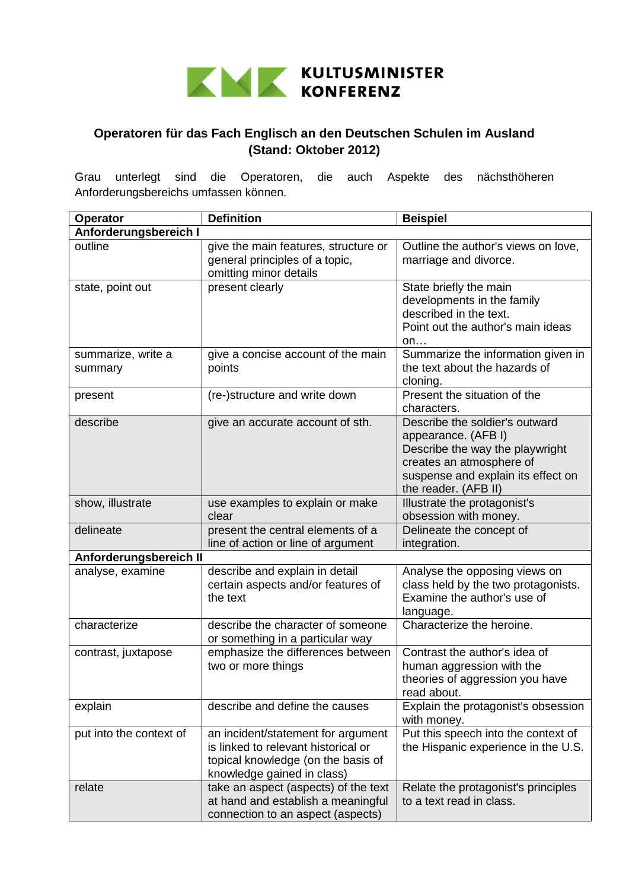

## **Operatoren für das Fach Englisch an den Deutschen Schulen im Ausland (Stand: Oktober 2012)**

Grau unterlegt sind die Operatoren, die auch Aspekte des nächsthöheren Anforderungsbereichs umfassen können.

| <b>Operator</b>               | <b>Definition</b>                                                                                                                             | <b>Beispiel</b>                                                                                                                                                                    |  |
|-------------------------------|-----------------------------------------------------------------------------------------------------------------------------------------------|------------------------------------------------------------------------------------------------------------------------------------------------------------------------------------|--|
| Anforderungsbereich I         |                                                                                                                                               |                                                                                                                                                                                    |  |
| outline                       | give the main features, structure or<br>general principles of a topic,<br>omitting minor details                                              | Outline the author's views on love,<br>marriage and divorce.                                                                                                                       |  |
| state, point out              | present clearly                                                                                                                               | State briefly the main<br>developments in the family<br>described in the text.<br>Point out the author's main ideas<br>on                                                          |  |
| summarize, write a<br>summary | give a concise account of the main<br>points                                                                                                  | Summarize the information given in<br>the text about the hazards of<br>cloning.                                                                                                    |  |
| present                       | (re-)structure and write down                                                                                                                 | Present the situation of the<br>characters.                                                                                                                                        |  |
| describe                      | give an accurate account of sth.                                                                                                              | Describe the soldier's outward<br>appearance. (AFB I)<br>Describe the way the playwright<br>creates an atmosphere of<br>suspense and explain its effect on<br>the reader. (AFB II) |  |
| show, illustrate              | use examples to explain or make<br>clear                                                                                                      | Illustrate the protagonist's<br>obsession with money.                                                                                                                              |  |
| delineate                     | present the central elements of a<br>line of action or line of argument                                                                       | Delineate the concept of<br>integration.                                                                                                                                           |  |
| Anforderungsbereich II        |                                                                                                                                               |                                                                                                                                                                                    |  |
| analyse, examine              | describe and explain in detail<br>certain aspects and/or features of<br>the text                                                              | Analyse the opposing views on<br>class held by the two protagonists.<br>Examine the author's use of<br>language.                                                                   |  |
| characterize                  | describe the character of someone<br>or something in a particular way                                                                         | Characterize the heroine.                                                                                                                                                          |  |
| contrast, juxtapose           | emphasize the differences between<br>two or more things                                                                                       | Contrast the author's idea of<br>human aggression with the<br>theories of aggression you have<br>read about.                                                                       |  |
| explain                       | describe and define the causes                                                                                                                | Explain the protagonist's obsession<br>with money.                                                                                                                                 |  |
| put into the context of       | an incident/statement for argument<br>is linked to relevant historical or<br>topical knowledge (on the basis of<br>knowledge gained in class) | Put this speech into the context of<br>the Hispanic experience in the U.S.                                                                                                         |  |
| relate                        | take an aspect (aspects) of the text<br>at hand and establish a meaningful<br>connection to an aspect (aspects)                               | Relate the protagonist's principles<br>to a text read in class.                                                                                                                    |  |